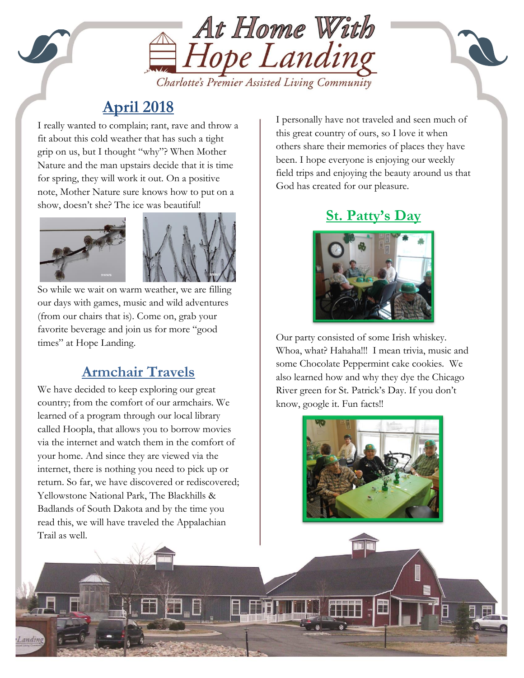

# **April 2018**

show, doesn't she? The ice was beautiful! I really wanted to complain; rant, rave and throw a fit about this cold weather that has such a tight grip on us, but I thought "why"? When Mother Nature and the man upstairs decide that it is time for spring, they will work it out. On a positive note, Mother Nature sure knows how to put on a



So while we wait on warm weather, we are filling our days with games, music and wild adventures (from our chairs that is). Come on, grab your favorite beverage and join us for more "good times" at Hope Landing.

## **Armchair Travels**

We have decided to keep exploring our great country; from the comfort of our armchairs. We learned of a program through our local library called Hoopla, that allows you to borrow movies via the internet and watch them in the comfort of your home. And since they are viewed via the internet, there is nothing you need to pick up or return. So far, we have discovered or rediscovered; Yellowstone National Park, The Blackhills & Badlands of South Dakota and by the time you read this, we will have traveled the Appalachian Trail as well.

I personally have not traveled and seen much of this great country of ours, so I love it when others share their memories of places they have been. I hope everyone is enjoying our weekly field trips and enjoying the beauty around us that God has created for our pleasure.

## **St. Patty's Day**



Our party consisted of some Irish whiskey. Whoa, what? Hahaha!!! I mean trivia, music and some Chocolate Peppermint cake cookies. We also learned how and why they dye the Chicago River green for St. Patrick's Day. If you don't know, google it. Fun facts!!